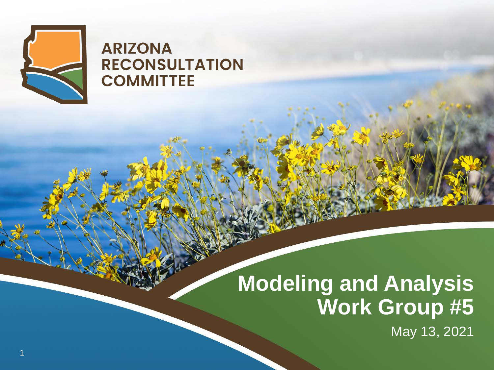

#### **ARIZONA RECONSULTATION COMMITTEE**

### **Modeling and Analysis Work Group #5**

May 13, 2021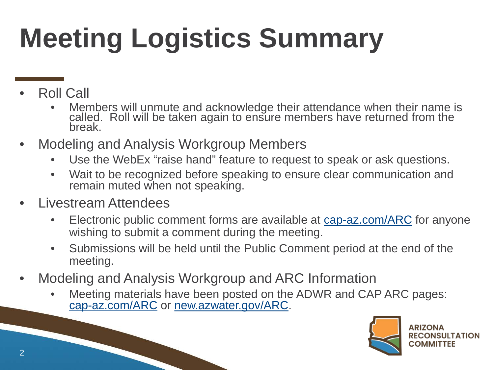## **Meeting Logistics Summary**

- Roll Call
	- Members will unmute and acknowledge their attendance when their name is called. Roll will be taken again to ensure members have returned from the break.
- Modeling and Analysis Workgroup Members
	- Use the WebEx "raise hand" feature to request to speak or ask questions.
	- Wait to be recognized before speaking to ensure clear communication and remain muted when not speaking.
- Livestream Attendees
	- Electronic public comment forms are available at [cap-az.com/ARC](http://www.cap-az.com/ARC) for anyone wishing to submit a comment during the meeting.
	- Submissions will be held until the Public Comment period at the end of the meeting.
- Modeling and Analysis Workgroup and ARC Information
	- Meeting materials have been posted on the ADWR and CAP ARC pages: [cap-az.com/ARC](http://www.cap-az.com/ARC) or new.azwater.gov/ARC.

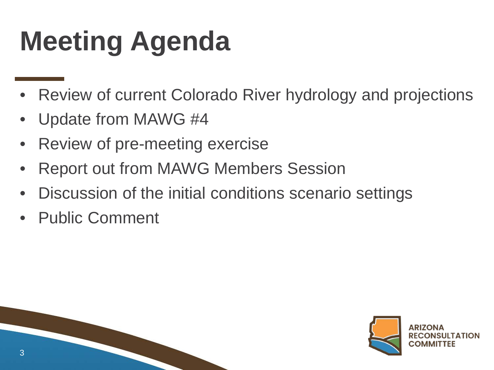### **Meeting Agenda**

- Review of current Colorado River hydrology and projections
- Update from MAWG #4
- Review of pre-meeting exercise
- Report out from MAWG Members Session
- Discussion of the initial conditions scenario settings
- Public Comment



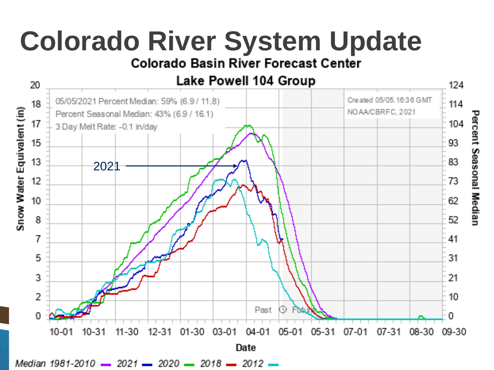# **Colorado River System Update**<br>Colorado Basin River Forecast Center



Median 1981-2010 - 2021 - 2020 - 2018 - 2012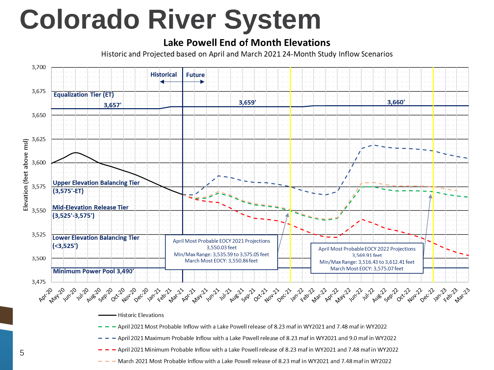### **Colorado River System**

#### **Lake Powell End of Month Elevations**

Historic and Projected based on April and March 2021 24-Month Study Inflow Scenarios

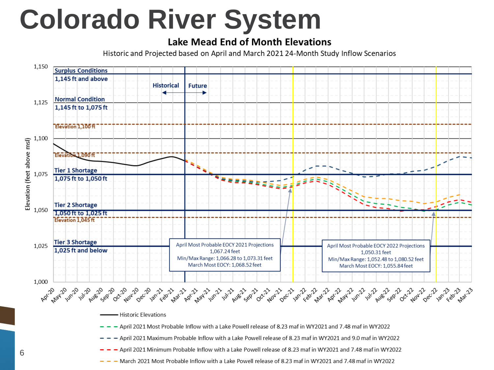### **Colorado River System**

#### **Lake Mead End of Month Elevations**

Historic and Projected based on April and March 2021 24-Month Study Inflow Scenarios

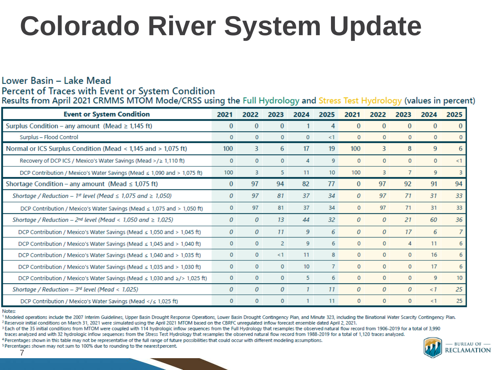### **Colorado River System Update**

#### Lower Basin - Lake Mead Percent of Traces with Event or System Condition

Results from April 2021 CRMMS MTOM Mode/CRSS using the Full Hydrology and Stress Test Hydrology (values in percent)

| <b>Event or System Condition</b>                                                                                                                                                                                                                                                                                             | 2021             | 2022         | 2023           | 2024            | 2025             | 2021         | 2022         | 2023         | 2024         | 2025 |
|------------------------------------------------------------------------------------------------------------------------------------------------------------------------------------------------------------------------------------------------------------------------------------------------------------------------------|------------------|--------------|----------------|-----------------|------------------|--------------|--------------|--------------|--------------|------|
| Surplus Condition – any amount (Mead $\geq$ 1,145 ft)                                                                                                                                                                                                                                                                        | $\bf{0}$         | $\theta$     | $\Omega$       |                 | 4                | $\Omega$     | $\mathbf{0}$ | $\Omega$     | $\mathbf{0}$ | 0    |
| Surplus - Flood Control                                                                                                                                                                                                                                                                                                      | $\mathbf{0}$     | $\mathbf{0}$ | $\mathbf{0}$   | $\mathbf{0}$    | $\leq$ 1         | $\mathbf{0}$ | $\mathbf{0}$ | $\mathbf{0}$ | $\mathbf{0}$ |      |
| Normal or ICS Surplus Condition (Mead < 1,145 and > 1,075 ft)                                                                                                                                                                                                                                                                | 100              | 3            | 6              | 17              | 19               | 100          | 3            | 8            | 9            | 6    |
| Recovery of DCP ICS / Mexico's Water Savings (Mead >/≥ 1,110 ft)                                                                                                                                                                                                                                                             | $\mathbf{0}$     | $\mathbf{0}$ | $\mathbf{0}$   | 4               | 9                | $\mathbf{0}$ | 0            | $\mathbf{0}$ | $\mathbf{0}$ | <1   |
| DCP Contribution / Mexico's Water Savings (Mead $\leq$ 1,090 and > 1,075 ft)                                                                                                                                                                                                                                                 | 100              | 3            | 5.             | 11              | 10 <sup>10</sup> | 100          | 3            | 7            | 9            | 3    |
| Shortage Condition – any amount (Mead $\leq$ 1,075 ft)                                                                                                                                                                                                                                                                       | $\bf{0}$         | 97           | 94             | 82              | 77               | $\mathbf{0}$ | 97           | 92           | 91           | 94   |
| Shortage / Reduction - 1 <sup>st</sup> level (Mead $\leq$ 1,075 and $\geq$ 1,050)                                                                                                                                                                                                                                            | $\boldsymbol{0}$ | 97           | 81             | 37              | 34               | 0            | 97           | 71           | 31           | 33   |
| DCP Contribution / Mexico's Water Savings (Mead $\leq$ 1,075 and > 1,050 ft)                                                                                                                                                                                                                                                 | $\mathbf{0}$     | 97           | 81             | 37              | 34               | $\mathbf{0}$ | 97           | 71           | 31           | 33   |
| Shortage / Reduction - $2^{nd}$ level (Mead < 1,050 and $\geq$ 1,025)                                                                                                                                                                                                                                                        | 0                | 0            | 13             | 44              | 32               | 0            | 0            | 21           | 60           | 36   |
| DCP Contribution / Mexico's Water Savings (Mead $\leq$ 1,050 and > 1,045 ft)                                                                                                                                                                                                                                                 | 0                | 0            | 11             | 9               | 6                | 0            | 0            | 17           | 6            | 7    |
| DCP Contribution / Mexico's Water Savings (Mead $\leq 1,045$ and > 1,040 ft)                                                                                                                                                                                                                                                 | $\mathbf{0}$     | 0            | $\overline{2}$ | 9               | 6                | $\mathbf{0}$ | 0            | 4            | 11           | 6    |
| DCP Contribution / Mexico's Water Savings (Mead $\leq$ 1,040 and > 1,035 ft)                                                                                                                                                                                                                                                 | $\mathbf{0}$     | $\mathbf{0}$ | <1             | 11              | 8                | $\mathbf{0}$ | 0            | $\mathbf{0}$ | 16           | 6    |
| DCP Contribution / Mexico's Water Savings (Mead ≤ 1,035 and > 1,030 ft)                                                                                                                                                                                                                                                      | $\mathbf{0}$     | $\mathbf{0}$ | $\Omega$       | 10 <sup>°</sup> | 7                | $\mathbf{0}$ | $\Omega$     | $\mathbf{0}$ | 17           | 6    |
| DCP Contribution / Mexico's Water Savings (Mead $\leq$ 1,030 and $\geq$ /> 1,025 ft)                                                                                                                                                                                                                                         | $\mathbf{0}$     | $\mathbf{0}$ | $\Omega$       | 5.              | 6                | $\Omega$     | $\Omega$     | $\Omega$     | 9            | 10   |
| Shortage / Reduction - $3^{rd}$ level (Mead < 1,025)                                                                                                                                                                                                                                                                         | $\theta$         | 0            | 0              |                 | 11               | $\theta$     | 0            | $\Omega$     | $\lt 1$      | 25   |
| DCP Contribution / Mexico's Water Savings (Mead ≤ 1,025 ft)</td <td><math>\Omega</math></td> <td><math>\Omega</math></td> <td><math>\mathbf{0}</math></td> <td></td> <td>11</td> <td><math>\mathbf{0}</math></td> <td><math>\mathbf{0}</math></td> <td><math>\mathbf{0}</math></td> <td><math>\leq 1</math></td> <td>25</td> | $\Omega$         | $\Omega$     | $\mathbf{0}$   |                 | 11               | $\mathbf{0}$ | $\mathbf{0}$ | $\mathbf{0}$ | $\leq 1$     | 25   |

Notes:

7

<sup>1</sup> Modeled operations include the 2007 Interim Guidelines, Upper Basin Drought Response Operations, Lower Basin Drought Contingency Plan, and Minute 323, including the Binational Water Scarcity Contingency Plan. <sup>2</sup> Reservoir initial conditions on March 31, 2021 were simulated using the April 2021 MTOM based on the CBRFC unregulated inflow forecast ensemble dated April 2, 2021.

<sup>3</sup> Each of the 35 initial conditions from MTOM were coupled with 114 hydrologic inflow sequences from the Full Hydrology that resamples the observed natural flow record from 1906-2019 for a total of 3.990

traces analyzed and with 32 hydrologic inflow sequences from the Stress Test Hydrology that resamples the observed natural flow record from 1988-2019 for a total of 1,120 traces analyzed.

4 Percentages shown in this table may not be representative of the full range of future possibilities that could occur with different modeling assumptions.

<sup>5</sup> Percentages shown may not sum to 100% due to rounding to the nearest percent.

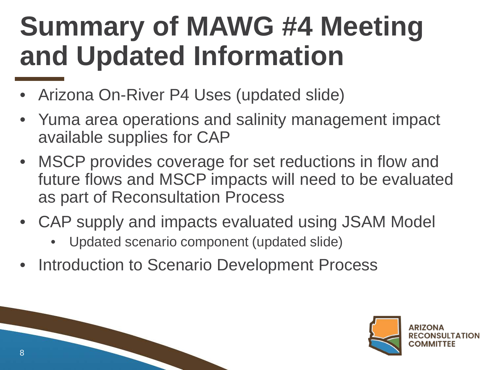### **Summary of MAWG #4 Meeting and Updated Information**

- Arizona On-River P4 Uses (updated slide)
- Yuma area operations and salinity management impact available supplies for CAP
- MSCP provides coverage for set reductions in flow and future flows and MSCP impacts will need to be evaluated as part of Reconsultation Process
- CAP supply and impacts evaluated using JSAM Model
	- Updated scenario component (updated slide)
- Introduction to Scenario Development Process



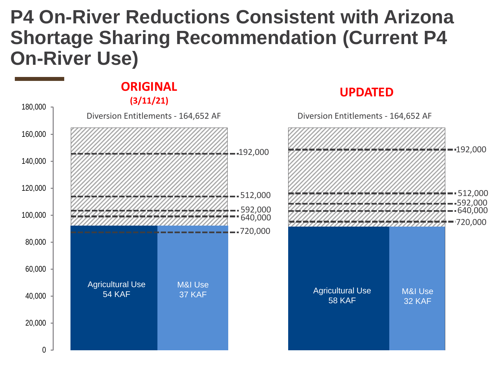### **P4 On-River Reductions Consistent with Arizona Shortage Sharing Recommendation (Current P4 On-River Use)**

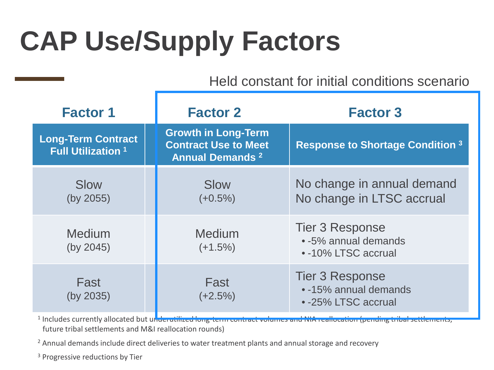### **CAP Use/Supply Factors**

Held constant for initial conditions scenario

| <b>Factor 1</b>                                        | <b>Factor 2</b>                                                                      | <b>Factor 3</b>                                                        |  |  |  |  |  |
|--------------------------------------------------------|--------------------------------------------------------------------------------------|------------------------------------------------------------------------|--|--|--|--|--|
| <b>Long-Term Contract</b><br><b>Full Utilization 1</b> | <b>Growth in Long-Term</b><br><b>Contract Use to Meet</b><br><b>Annual Demands 2</b> | <b>Response to Shortage Condition 3</b>                                |  |  |  |  |  |
| Slow<br>(by 2055)                                      | Slow<br>$(+0.5%)$                                                                    | No change in annual demand<br>No change in LTSC accrual                |  |  |  |  |  |
| <b>Medium</b><br>(by 2045)                             | <b>Medium</b><br>$(+1.5%)$                                                           | <b>Tier 3 Response</b><br>• -5% annual demands<br>• -10% LTSC accrual  |  |  |  |  |  |
| Fast<br>(by 2035)                                      | Fast<br>$(+2.5%)$                                                                    | <b>Tier 3 Response</b><br>• -15% annual demands<br>• -25% LTSC accrual |  |  |  |  |  |

<sup>1</sup> Includes currently allocated but underutilized long-term contract volumes and NIA reallocation (pending tribal settlements, future tribal settlements and M&I reallocation rounds)

<sup>2</sup> Annual demands include direct deliveries to water treatment plants and annual storage and recovery

<sup>3</sup> Progressive reductions by Tier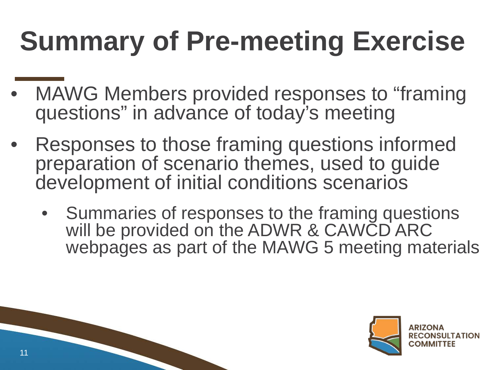### **Summary of Pre-meeting Exercise**

- MAWG Members provided responses to "framing" questions" in advance of today's meeting
- Responses to those framing questions informed preparation of scenario themes, used to guide development of initial conditions scenarios
	- Summaries of responses to the framing questions will be provided on the ADWR & CAWCD ARC webpages as part of the MAWG 5 meeting materials



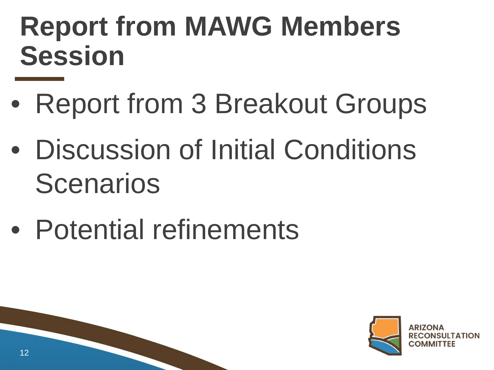### **Report from MAWG Members Session**

- Report from 3 Breakout Groups
- Discussion of Initial Conditions Scenarios
- Potential refinements



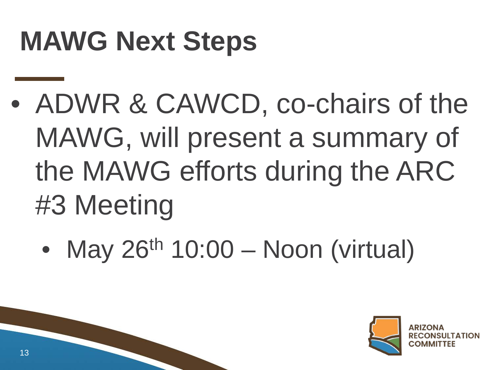### **MAWG Next Steps**

- ADWR & CAWCD, co-chairs of the MAWG, will present a summary of the MAWG efforts during the ARC #3 Meeting
	- May  $26<sup>th</sup> 10:00 Noon (virtual)$



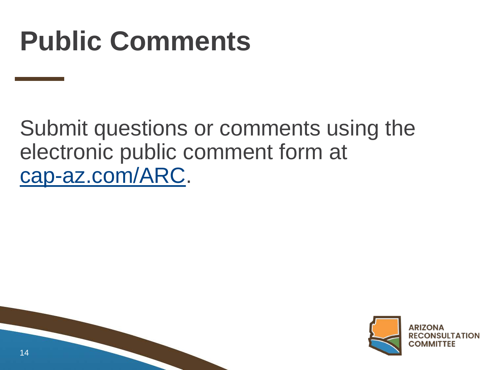### **Public Comments**

Submit questions or comments using the electronic public comment form at [cap-az.com/ARC.](http://www.cap-az.com/ARC)